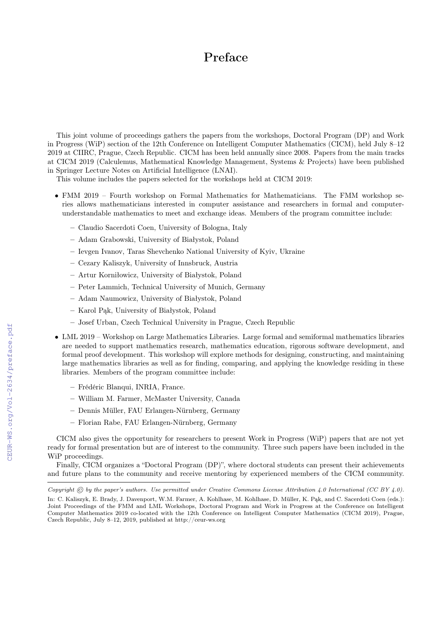## Preface

This joint volume of proceedings gathers the papers from the workshops, Doctoral Program (DP) and Work in Progress (WiP) section of the 12th Conference on Intelligent Computer Mathematics (CICM), held July 8–12 2019 at CIIRC, Prague, Czech Republic. CICM has been held annually since 2008. Papers from the main tracks at CICM 2019 (Calculemus, Mathematical Knowledge Management, Systems & Projects) have been published in Springer Lecture Notes on Artificial Intelligence (LNAI).

This volume includes the papers selected for the workshops held at CICM 2019:

- FMM 2019 Fourth workshop on Formal Mathematics for Mathematicians. The FMM workshop series allows mathematicians interested in computer assistance and researchers in formal and computerunderstandable mathematics to meet and exchange ideas. Members of the program committee include:
	- Claudio Sacerdoti Coen, University of Bologna, Italy
	- Adam Grabowski, University of Białystok, Poland
	- Ievgen Ivanov, Taras Shevchenko National University of Kyiv, Ukraine
	- Cezary Kaliszyk, University of Innsbruck, Austria
	- Artur Korniłowicz, University of Białystok, Poland
	- Peter Lammich, Technical University of Munich, Germany
	- Adam Naumowicz, University of Białystok, Poland
	- Karol Pąk, University of Białystok, Poland
	- Josef Urban, Czech Technical University in Prague, Czech Republic
- LML 2019 Workshop on Large Mathematics Libraries. Large formal and semiformal mathematics libraries are needed to support mathematics research, mathematics education, rigorous software development, and formal proof development. This workshop will explore methods for designing, constructing, and maintaining large mathematics libraries as well as for finding, comparing, and applying the knowledge residing in these libraries. Members of the program committee include:
	- Frédéric Blanqui, INRIA, France.
	- William M. Farmer, McMaster University, Canada
	- Dennis Müller, FAU Erlangen-Nürnberg, Germany
	- Florian Rabe, FAU Erlangen-Nürnberg, Germany

CICM also gives the opportunity for researchers to present Work in Progress (WiP) papers that are not yet ready for formal presentation but are of interest to the community. Three such papers have been included in the WiP proceedings.

Finally, CICM organizes a "Doctoral Program (DP)", where doctoral students can present their achievements and future plans to the community and receive mentoring by experienced members of the CICM community.

Copyright  $\odot$  by the paper's authors. Use permitted under Creative Commons License Attribution 4.0 International (CC BY 4.0). In: C. Kaliszyk, E. Brady, J. Davenport, W.M. Farmer, A. Kohlhase, M. Kohlhase, D. Müller, K. Pąk, and C. Sacerdoti Coen (eds.):

Joint Proceedings of the FMM and LML Workshops, Doctoral Program and Work in Progress at the Conference on Intelligent Computer Mathematics 2019 co-located with the 12th Conference on Intelligent Computer Mathematics (CICM 2019), Prague, Czech Republic, July 8–12, 2019, published at http://ceur-ws.org